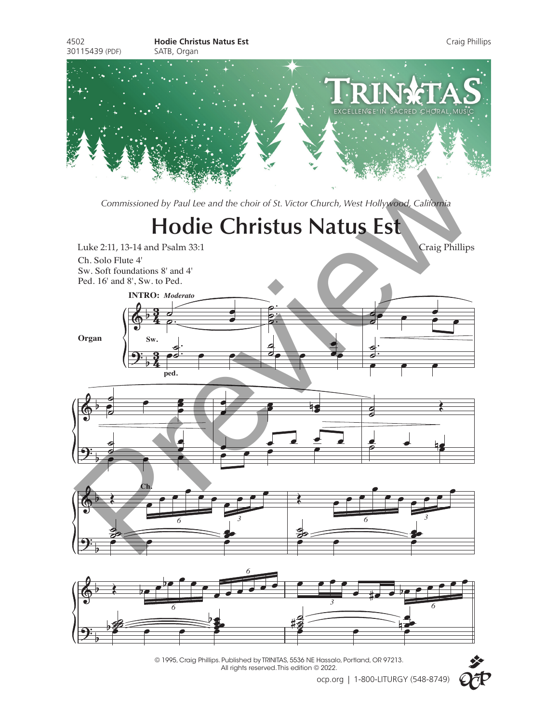

*Commissioned by Paul Lee and the choir of St. Victor Church, West Hollywood, California*

## **Hodie Christus Natus Est**

Luke 2:11, 13-14 and Psalm 33:1 Craig Phillips **Ch.** *6 3 6 3* **ped. Organ** Ped. 16' and 8', Sw. to Ped. Sw. Soft foundations 8' and 4' Ch. Solo Flute 4' **INTRO:** *Moderato* **Sw.** Commissioned by Paul I be and the choir of St. Victor Church, West I follywood, California<br>
Hodie Christus Natus Est<br>
Luke 2:11, 13-14 and Psalm 33:1<br>
S. Soft formulations R until 4<br>
Pred. 16 and 8. Seve Obtations<br>
Pres.



© 1995, Craig Phillips. Published by TRINITAS, 5536 NE Hassalo, Portland, OR 97213. All rights reserved. This edition © 2022.

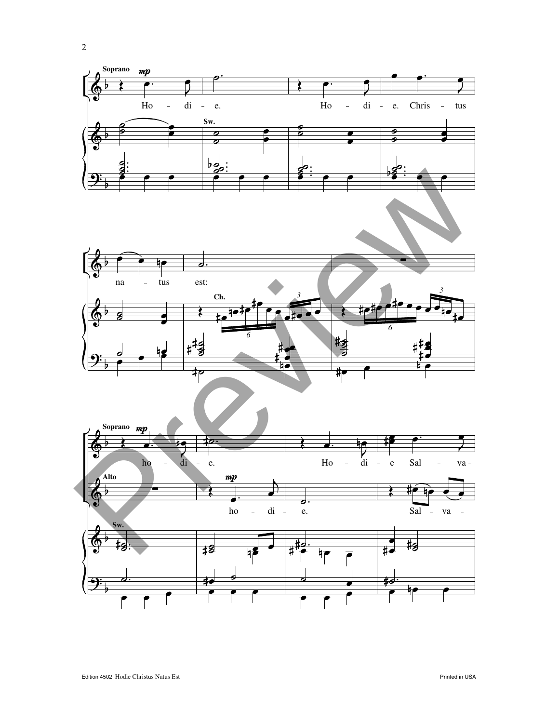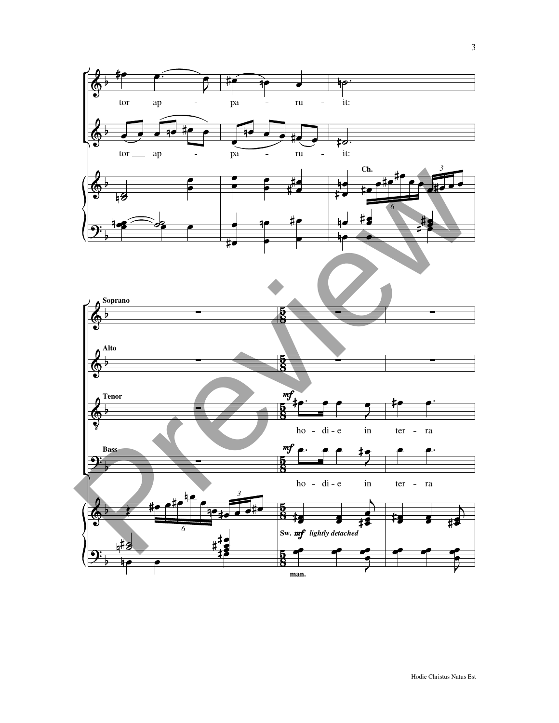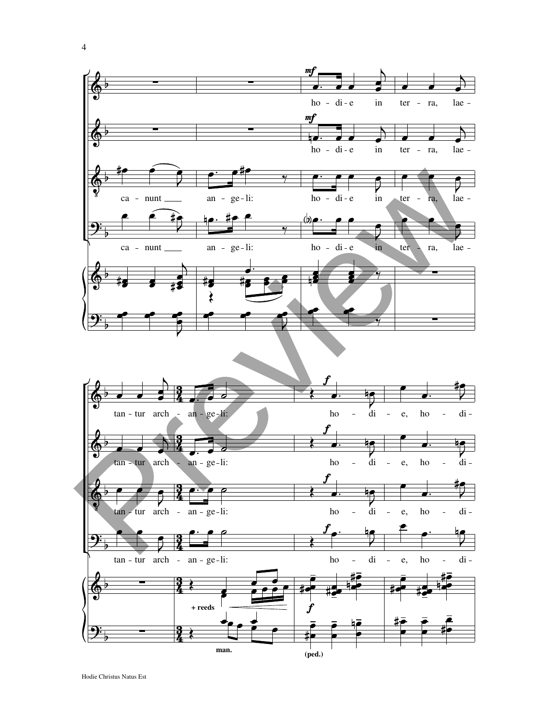

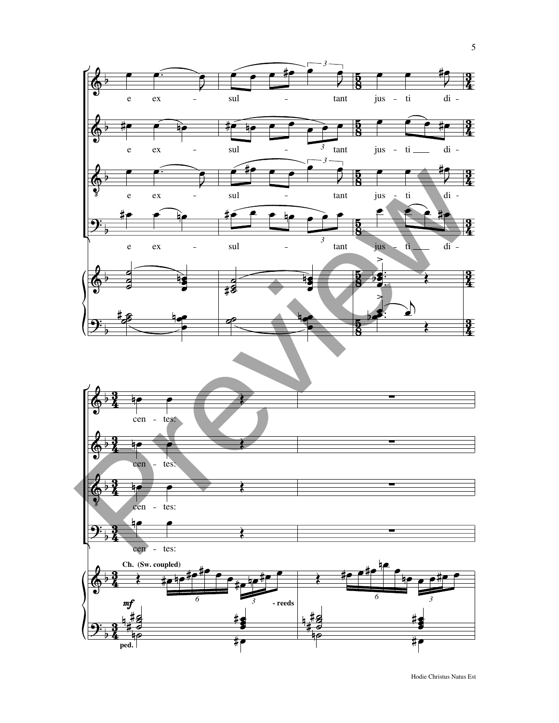

Hodie Christus Natus Est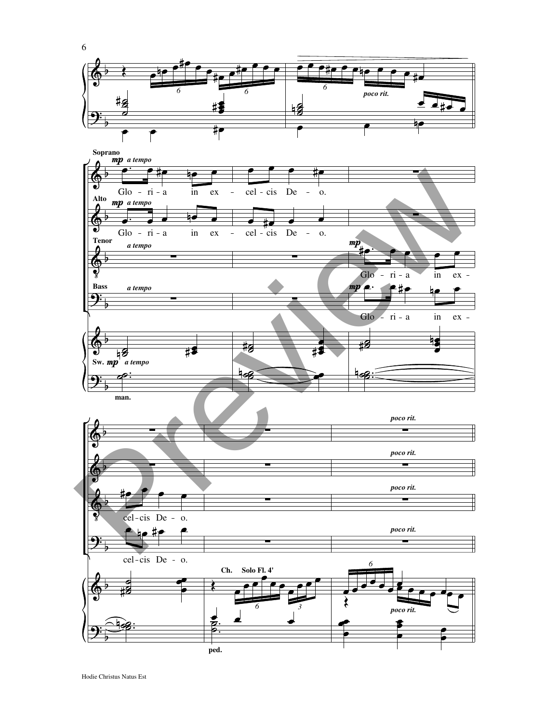

**ped.**

6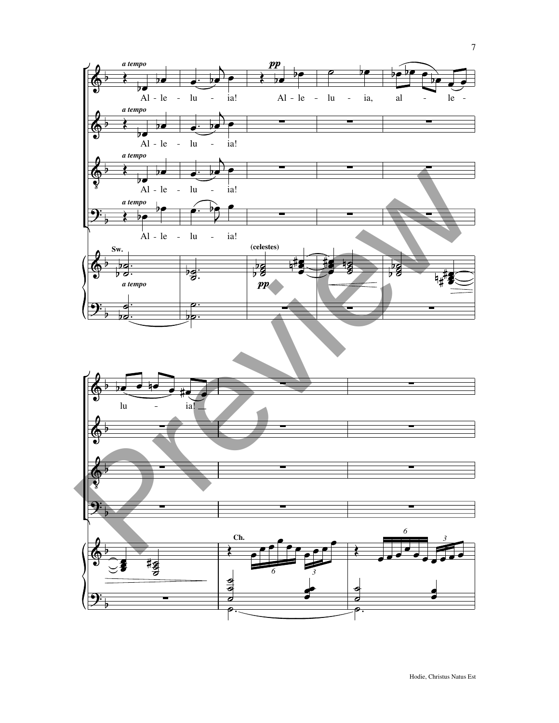

*6 3*

 $\overline{c}$ 

o

 $\overline{\mathcal{P}}$ 

7